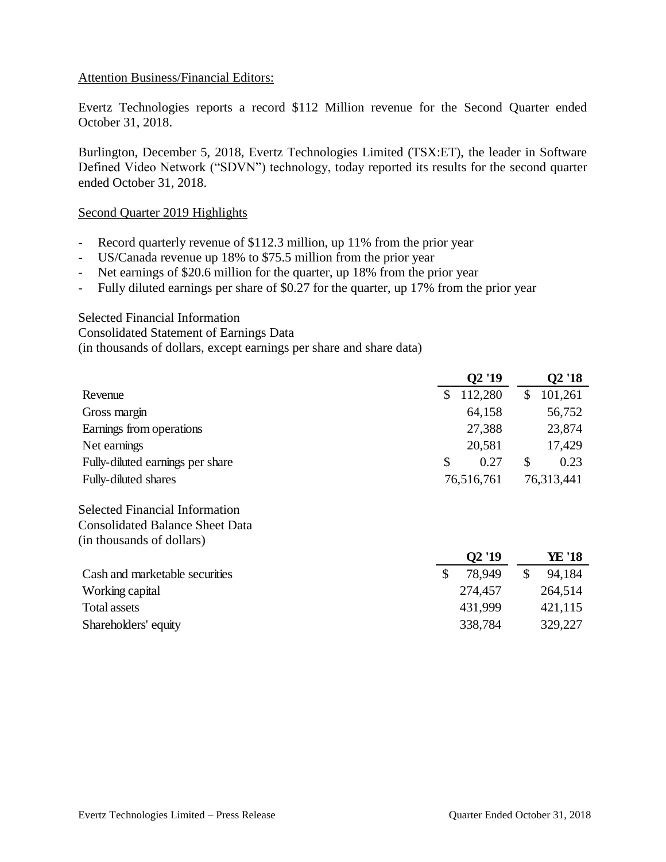## Attention Business/Financial Editors:

Evertz Technologies reports a record \$112 Million revenue for the Second Quarter ended October 31, 2018.

Burlington, December 5, 2018, Evertz Technologies Limited (TSX:ET), the leader in Software Defined Video Network ("SDVN") technology, today reported its results for the second quarter ended October 31, 2018.

## Second Quarter 2019 Highlights

- Record quarterly revenue of \$112.3 million, up 11% from the prior year
- US/Canada revenue up 18% to \$75.5 million from the prior year
- Net earnings of \$20.6 million for the quarter, up 18% from the prior year
- Fully diluted earnings per share of \$0.27 for the quarter, up 17% from the prior year

#### Selected Financial Information

Consolidated Statement of Earnings Data

(in thousands of dollars, except earnings per share and share data)

|                                        |               | Q2 '19     |               | Q2 '18     |  |
|----------------------------------------|---------------|------------|---------------|------------|--|
| Revenue                                | \$            | 112,280    | \$            | 101,261    |  |
| Gross margin                           |               | 64,158     |               | 56,752     |  |
| Earnings from operations               |               | 27,388     |               | 23,874     |  |
| Net earnings                           |               | 20,581     |               | 17,429     |  |
| Fully-diluted earnings per share       | \$            | 0.27       | \$            | 0.23       |  |
| Fully-diluted shares                   |               | 76,516,761 |               | 76,313,441 |  |
| <b>Selected Financial Information</b>  |               |            |               |            |  |
| <b>Consolidated Balance Sheet Data</b> |               |            |               |            |  |
| (in thousands of dollars)              |               |            |               |            |  |
|                                        |               | Q2'19      |               | YE '18     |  |
| Cash and marketable securities         | $\mathcal{S}$ | 78,949     | $\mathcal{S}$ | 94,184     |  |
| Working capital                        |               | 274,457    |               | 264,514    |  |
| <b>Total assets</b>                    |               | 431,999    |               | 421,115    |  |
| Shareholders' equity                   |               | 338,784    |               | 329,227    |  |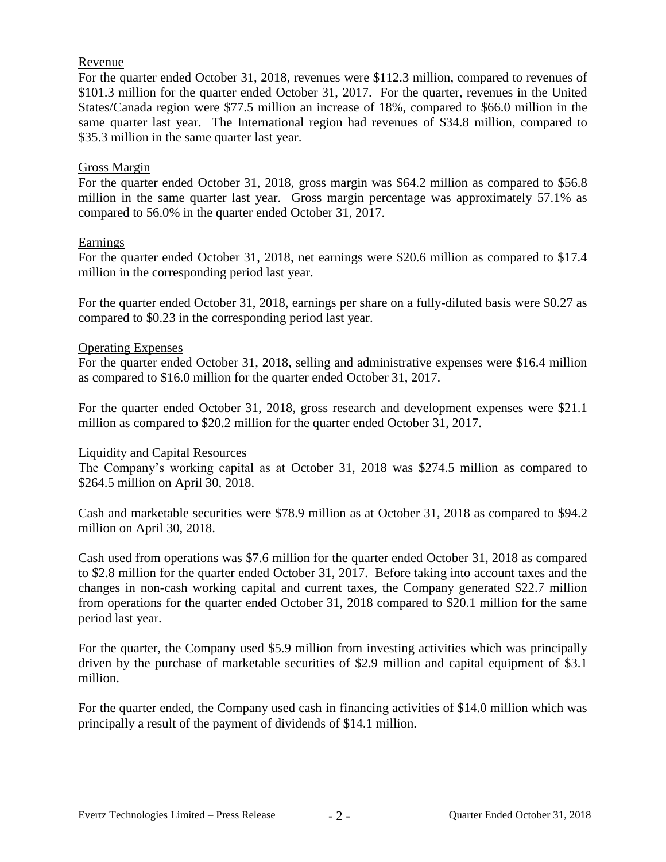# Revenue

For the quarter ended October 31, 2018, revenues were \$112.3 million, compared to revenues of \$101.3 million for the quarter ended October 31, 2017. For the quarter, revenues in the United States/Canada region were \$77.5 million an increase of 18%, compared to \$66.0 million in the same quarter last year. The International region had revenues of \$34.8 million, compared to \$35.3 million in the same quarter last year.

## Gross Margin

For the quarter ended October 31, 2018, gross margin was \$64.2 million as compared to \$56.8 million in the same quarter last year. Gross margin percentage was approximately 57.1% as compared to 56.0% in the quarter ended October 31, 2017.

## Earnings

For the quarter ended October 31, 2018, net earnings were \$20.6 million as compared to \$17.4 million in the corresponding period last year.

For the quarter ended October 31, 2018, earnings per share on a fully-diluted basis were \$0.27 as compared to \$0.23 in the corresponding period last year.

## Operating Expenses

For the quarter ended October 31, 2018, selling and administrative expenses were \$16.4 million as compared to \$16.0 million for the quarter ended October 31, 2017.

For the quarter ended October 31, 2018, gross research and development expenses were \$21.1 million as compared to \$20.2 million for the quarter ended October 31, 2017.

## Liquidity and Capital Resources

The Company's working capital as at October 31, 2018 was \$274.5 million as compared to \$264.5 million on April 30, 2018.

Cash and marketable securities were \$78.9 million as at October 31, 2018 as compared to \$94.2 million on April 30, 2018.

Cash used from operations was \$7.6 million for the quarter ended October 31, 2018 as compared to \$2.8 million for the quarter ended October 31, 2017. Before taking into account taxes and the changes in non-cash working capital and current taxes, the Company generated \$22.7 million from operations for the quarter ended October 31, 2018 compared to \$20.1 million for the same period last year.

For the quarter, the Company used \$5.9 million from investing activities which was principally driven by the purchase of marketable securities of \$2.9 million and capital equipment of \$3.1 million.

For the quarter ended, the Company used cash in financing activities of \$14.0 million which was principally a result of the payment of dividends of \$14.1 million.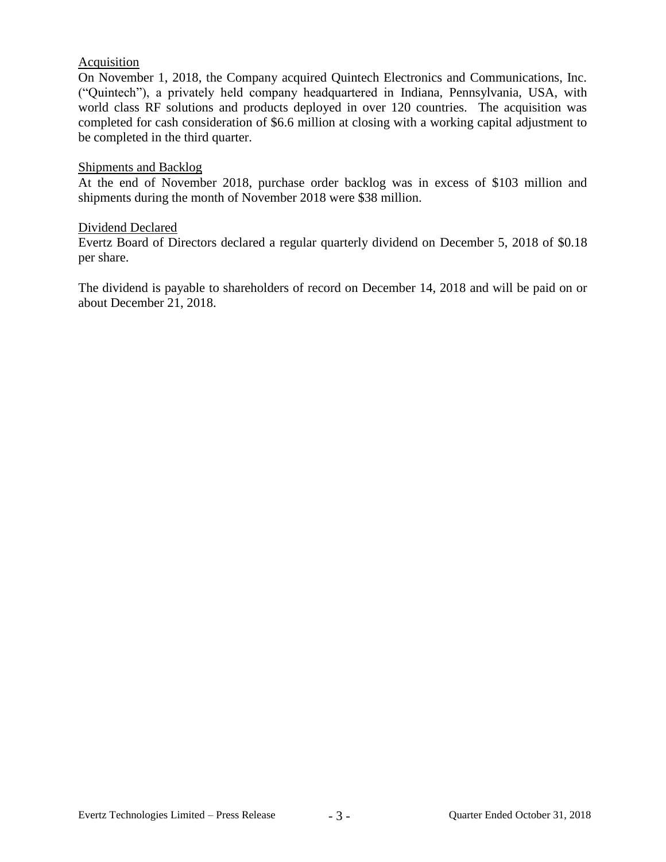# **Acquisition**

On November 1, 2018, the Company acquired Quintech Electronics and Communications, Inc. ("Quintech"), a privately held company headquartered in Indiana, Pennsylvania, USA, with world class RF solutions and products deployed in over 120 countries. The acquisition was completed for cash consideration of \$6.6 million at closing with a working capital adjustment to be completed in the third quarter.

## Shipments and Backlog

At the end of November 2018, purchase order backlog was in excess of \$103 million and shipments during the month of November 2018 were \$38 million.

## Dividend Declared

Evertz Board of Directors declared a regular quarterly dividend on December 5, 2018 of \$0.18 per share.

The dividend is payable to shareholders of record on December 14, 2018 and will be paid on or about December 21, 2018.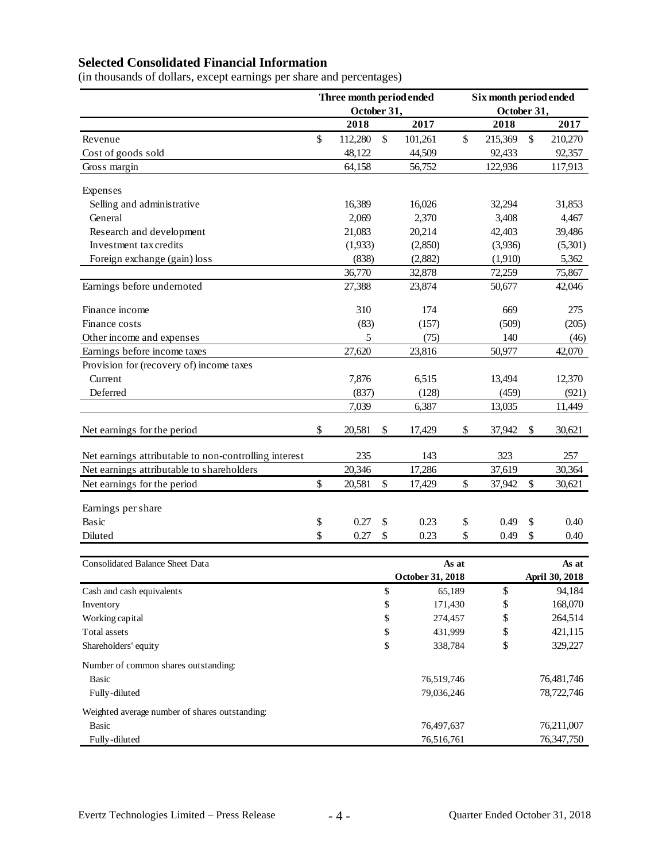# **Selected Consolidated Financial Information**

(in thousands of dollars, except earnings per share and percentages)

|                                                       | Three month period ended |             |              | Six month period ended |             |                   |       |                |
|-------------------------------------------------------|--------------------------|-------------|--------------|------------------------|-------------|-------------------|-------|----------------|
|                                                       |                          | October 31, |              |                        | October 31, |                   |       |                |
|                                                       |                          | 2018        |              | 2017                   |             | 2018              |       | 2017           |
| Revenue                                               | \$                       | 112,280     | \$           | 101,261                | \$          | 215,369           | \$    | 210,270        |
| Cost of goods sold                                    |                          | 48,122      |              | 44,509                 |             | 92,433            |       | 92,357         |
| Gross margin                                          |                          | 64,158      |              | 56,752                 |             | 122,936           |       | 117,913        |
|                                                       |                          |             |              |                        |             |                   |       |                |
| Expenses<br>Selling and administrative                |                          | 16,389      |              | 16,026                 |             | 32,294            |       | 31,853         |
| General                                               |                          | 2,069       |              | 2,370                  |             | 3,408             |       | 4,467          |
| Research and development                              |                          | 21,083      |              | 20,214                 |             | 42,403            |       | 39,486         |
| Investment tax credits                                |                          | (1,933)     |              | (2,850)                |             | (3,936)           |       | (5,301)        |
|                                                       |                          | (838)       |              | (2,882)                |             |                   |       | 5,362          |
| Foreign exchange (gain) loss                          |                          | 36,770      |              | 32,878                 |             | (1,910)<br>72,259 |       | 75,867         |
| Earnings before undernoted                            |                          | 27,388      |              | 23,874                 |             | 50,677            |       | 42,046         |
|                                                       |                          |             |              |                        |             |                   |       |                |
| Finance income                                        |                          | 310         |              | 174                    |             | 669               |       | 275            |
| Finance costs                                         |                          | (83)        |              | (157)                  |             | (509)             |       | (205)          |
| Other income and expenses                             |                          | 5           |              | (75)                   |             | 140               |       | (46)           |
| Earnings before income taxes                          |                          | 27,620      |              | 23,816                 |             | 50,977            |       | 42,070         |
| Provision for (recovery of) income taxes              |                          |             |              |                        |             |                   |       |                |
| Current                                               |                          | 7,876       |              | 6,515                  |             | 13,494            |       | 12,370         |
| Deferred                                              |                          | (837)       |              | (128)                  |             | (459)             |       | (921)          |
|                                                       |                          | 7,039       |              | 6,387                  |             | 13,035            |       | 11,449         |
| Net earnings for the period                           | \$                       | 20,581      | \$           | 17,429                 | \$          | 37,942            | \$    | 30,621         |
| Net earnings attributable to non-controlling interest |                          | 235         |              | 143                    |             | 323               |       | 257            |
| Net earnings attributable to shareholders             |                          | 20,346      |              | 17,286                 |             | 37,619            |       | 30,364         |
| Net earnings for the period                           | \$                       | 20,581      | $\mathbb{S}$ | 17,429                 | \$          | 37,942            | \$    | 30,621         |
|                                                       |                          |             |              |                        |             |                   |       |                |
| Earnings per share                                    |                          |             |              |                        |             |                   |       |                |
| Basic                                                 | \$                       | 0.27        | \$           | 0.23                   | \$          | 0.49              | \$    | 0.40           |
| Diluted                                               | \$                       | 0.27        | \$           | 0.23                   | \$          | 0.49              | \$    | 0.40           |
|                                                       |                          |             |              |                        |             |                   |       |                |
| <b>Consolidated Balance Sheet Data</b><br>As at       |                          |             |              |                        |             |                   | As at |                |
|                                                       |                          |             |              | October 31, 2018       |             |                   |       | April 30, 2018 |
| Cash and cash equivalents                             |                          |             | \$           |                        | 65,189      | \$                |       | 94,184         |
| Inventory                                             |                          |             | \$           | 171,430                |             | \$<br>\$          |       | 168,070        |
| Working capital                                       |                          |             | \$           |                        | 274,457     |                   |       | 264,514        |
| Total assets                                          |                          |             | \$           |                        | 431,999     |                   |       | 421,115        |
| Shareholders' equity                                  |                          |             | \$           | 338,784                |             | \$                |       | 329,227        |
| Number of common shares outstanding:                  |                          |             |              |                        |             |                   |       |                |
| <b>Basic</b>                                          |                          |             |              | 76,519,746             |             |                   |       | 76,481,746     |
| Fully-diluted                                         |                          |             |              | 79,036,246             |             |                   |       | 78,722,746     |
| Weighted average number of shares outstanding:        |                          |             |              |                        |             |                   |       |                |
| <b>Basic</b>                                          |                          |             |              | 76,497,637             |             |                   |       | 76,211,007     |
| Fully-diluted                                         |                          |             |              | 76,516,761             |             |                   |       | 76,347,750     |
|                                                       |                          |             |              |                        |             |                   |       |                |